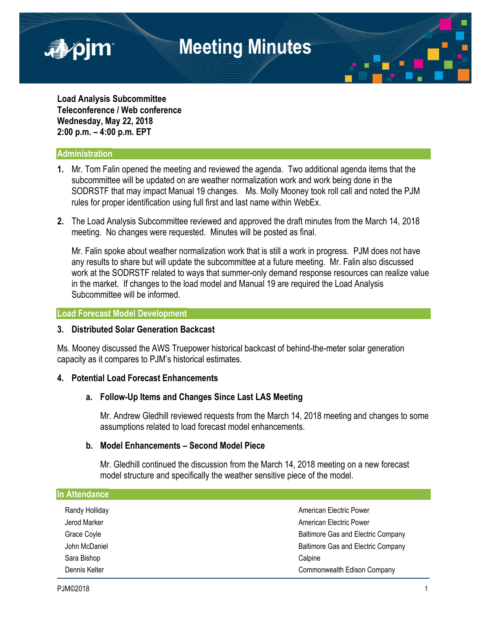

**Load Analysis Subcommittee Teleconference / Web conference Wednesday, May 22, 2018 2:00 p.m. – 4:00 p.m. EPT**

## **Administration**

- **1.** Mr. Tom Falin opened the meeting and reviewed the agenda. Two additional agenda items that the subcommittee will be updated on are weather normalization work and work being done in the SODRSTF that may impact Manual 19 changes. Ms. Molly Mooney took roll call and noted the PJM rules for proper identification using full first and last name within WebEx.
- **2.** The Load Analysis Subcommittee reviewed and approved the draft minutes from the March 14, 2018 meeting. No changes were requested. Minutes will be posted as final.

Mr. Falin spoke about weather normalization work that is still a work in progress. PJM does not have any results to share but will update the subcommittee at a future meeting. Mr. Falin also discussed work at the SODRSTF related to ways that summer-only demand response resources can realize value in the market. If changes to the load model and Manual 19 are required the Load Analysis Subcommittee will be informed.

#### **Load Forecast Model Development**

### **3. Distributed Solar Generation Backcast**

Ms. Mooney discussed the AWS Truepower historical backcast of behind-the-meter solar generation capacity as it compares to PJM's historical estimates.

### **4. Potential Load Forecast Enhancements**

### **a. Follow-Up Items and Changes Since Last LAS Meeting**

Mr. Andrew Gledhill reviewed requests from the March 14, 2018 meeting and changes to some assumptions related to load forecast model enhancements.

### **b. Model Enhancements – Second Model Piece**

Mr. Gledhill continued the discussion from the March 14, 2018 meeting on a new forecast model structure and specifically the weather sensitive piece of the model.

| In Attendance  |                                           |
|----------------|-------------------------------------------|
| Randy Holliday | American Electric Power                   |
| Jerod Marker   | American Electric Power                   |
| Grace Coyle    | <b>Baltimore Gas and Electric Company</b> |
| John McDaniel  | Baltimore Gas and Electric Company        |
| Sara Bishop    | Calpine                                   |
| Dennis Kelter  | Commonwealth Edison Company               |